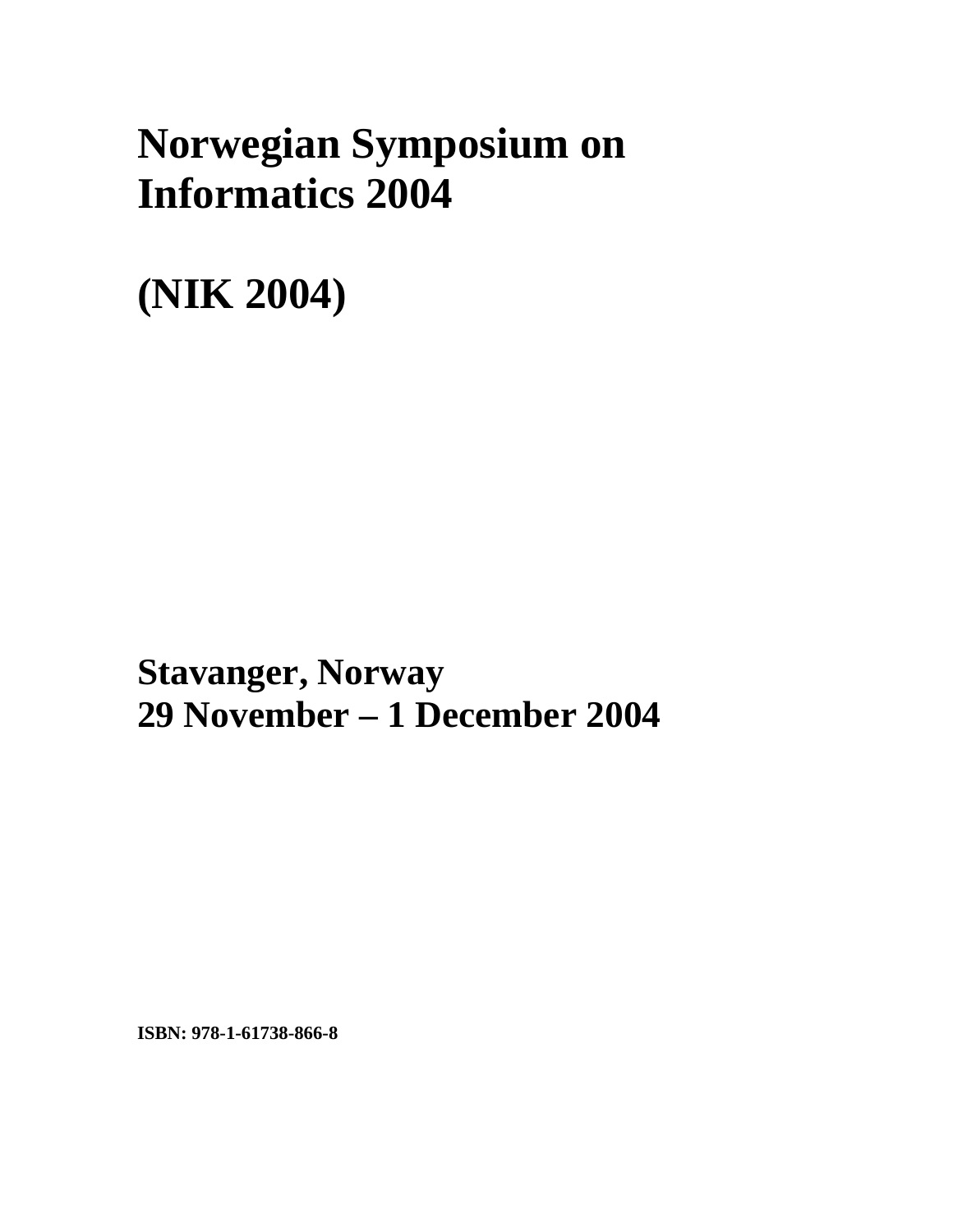## **Norwegian Symposium on Informatics 2004**

**(NIK 2004)** 

**xxx Stavanger, Norway 29 November – 1 December 2004** 

**ISBN: 978-1-61738-866-8**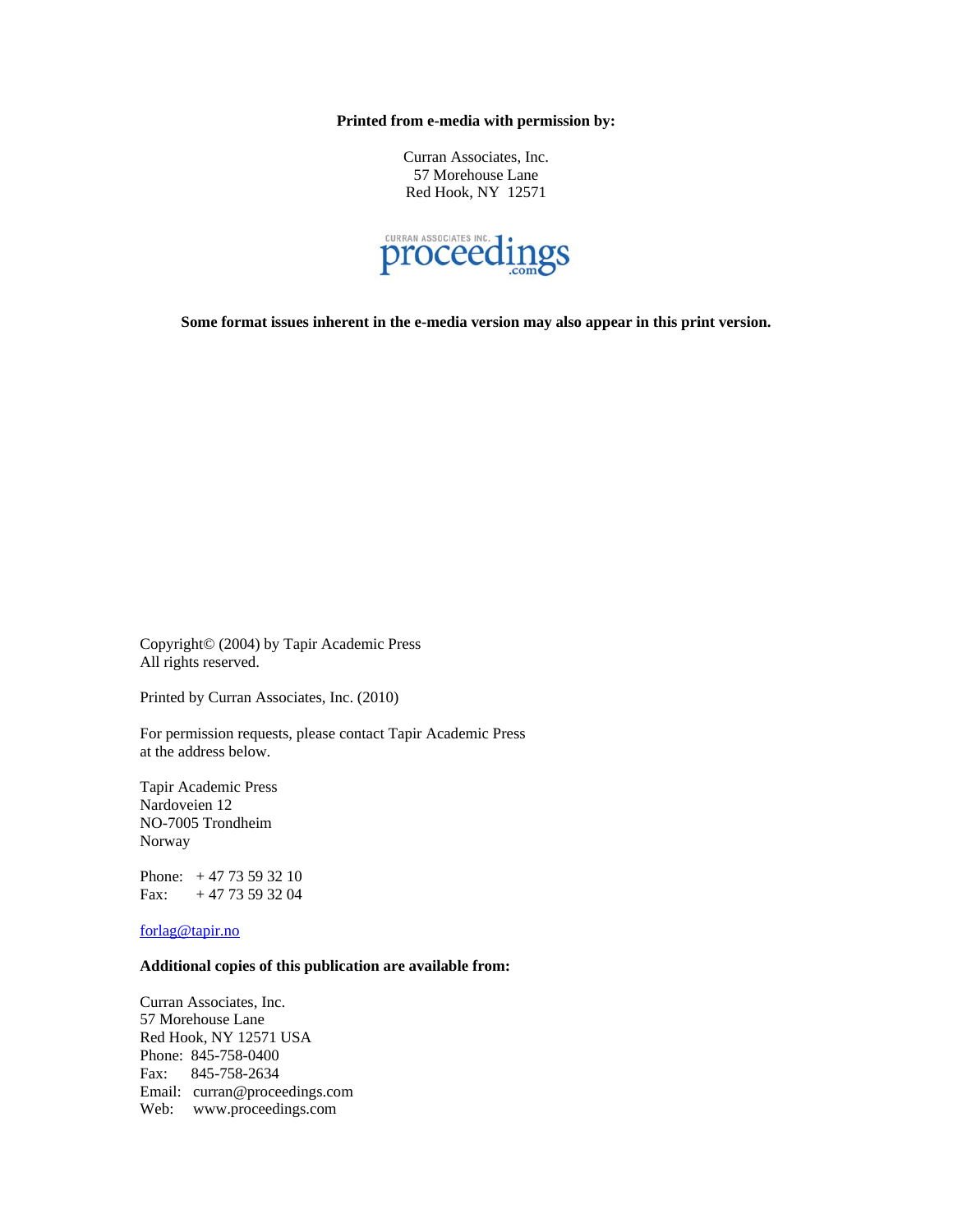**Printed from e-media with permission by:** 

Curran Associates, Inc. 57 Morehouse Lane Red Hook, NY 12571



**Some format issues inherent in the e-media version may also appear in this print version.** 

Copyright© (2004) by Tapir Academic Press All rights reserved.

Printed by Curran Associates, Inc. (2010)

For permission requests, please contact Tapir Academic Press at the address below.

Tapir Academic Press Nardoveien 12 NO-7005 Trondheim Norway

Phone: + 47 73 59 32 10 Fax:  $+4773593204$ 

forlag@tapir.no

## **Additional copies of this publication are available from:**

Curran Associates, Inc. 57 Morehouse Lane Red Hook, NY 12571 USA Phone: 845-758-0400 Fax: 845-758-2634 Email: curran@proceedings.com Web: www.proceedings.com